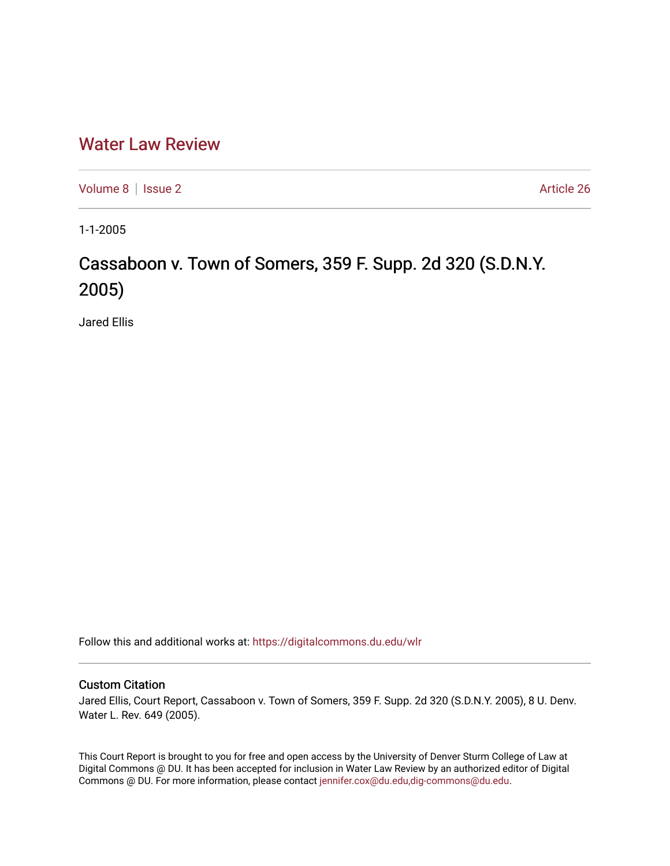## [Water Law Review](https://digitalcommons.du.edu/wlr)

[Volume 8](https://digitalcommons.du.edu/wlr/vol8) | [Issue 2](https://digitalcommons.du.edu/wlr/vol8/iss2) Article 26

1-1-2005

## Cassaboon v. Town of Somers, 359 F. Supp. 2d 320 (S.D.N.Y. 2005)

Jared Ellis

Follow this and additional works at: [https://digitalcommons.du.edu/wlr](https://digitalcommons.du.edu/wlr?utm_source=digitalcommons.du.edu%2Fwlr%2Fvol8%2Fiss2%2F26&utm_medium=PDF&utm_campaign=PDFCoverPages) 

## Custom Citation

Jared Ellis, Court Report, Cassaboon v. Town of Somers, 359 F. Supp. 2d 320 (S.D.N.Y. 2005), 8 U. Denv. Water L. Rev. 649 (2005).

This Court Report is brought to you for free and open access by the University of Denver Sturm College of Law at Digital Commons @ DU. It has been accepted for inclusion in Water Law Review by an authorized editor of Digital Commons @ DU. For more information, please contact [jennifer.cox@du.edu,dig-commons@du.edu.](mailto:jennifer.cox@du.edu,dig-commons@du.edu)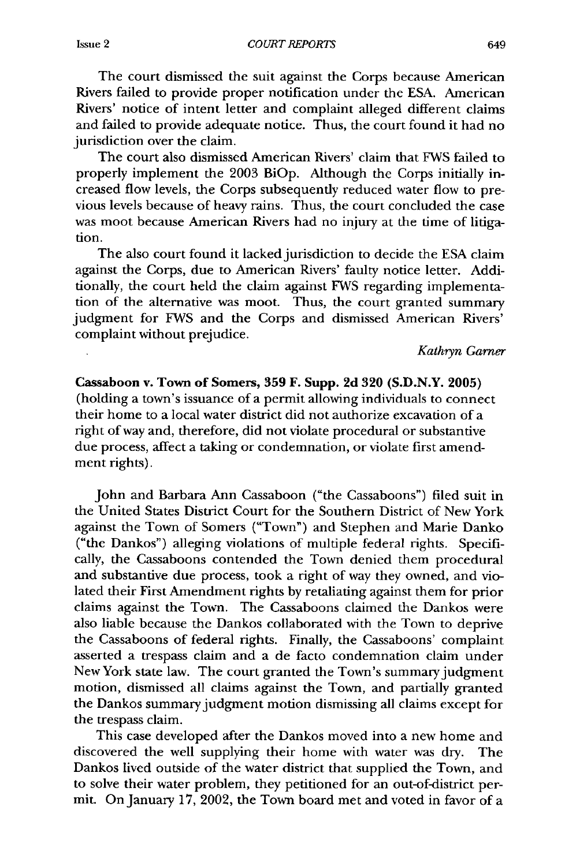The court dismissed the suit against the Corps because American Rivers failed to provide proper notification under the ESA. American Rivers' notice of intent letter and complaint alleged different claims and failed to provide adequate notice. Thus, the court found it had no jurisdiction over the claim.

The court also dismissed American Rivers' claim that FWS failed to properly implement the 2003 BiOp. Although the Corps initially increased flow levels, the Corps subsequently reduced water flow to previous levels because of heavy rains. Thus, the court concluded the case was moot because American Rivers had no injury at the time of litigation.

The also court found it lacked jurisdiction to decide the ESA claim against the Corps, due to American Rivers' faulty notice letter. Additionally, the court held the claim against FWS regarding implementation of the alternative was moot. Thus, the court granted summary judgment for FWS and the Corps and dismissed American Rivers' complaint without prejudice.

*Kathryn Garner*

Cassaboon **v. Town of Somers, 359 F. Supp. 2d 320 (S.D.N.Y. 2005)** (holding a town's issuance of a permit allowing individuals to connect their home to a local water district did not authorize excavation of a right of way and, therefore, did not violate procedural or substantive due process, affect a taking or condemnation, or violate first amendment rights).

John and Barbara Ann Cassaboon ("the Cassaboons") filed suit in the United States District Court for the Southern District of New York against the Town of Somers ("Town") and Stephen and Marie Danko ("the Dankos") alleging violations of multiple federal rights. Specifically, the Cassaboons contended the Town denied them procedural and substantive due process, took a right of way they owned, and violated their First Amendment rights by retaliating against them for prior claims against the Town. The Cassaboons claimed the Dankos were also liable because the Dankos collaborated with the Town to deprive the Cassaboons of federal rights. Finally, the Cassaboons' complaint asserted a trespass claim and a de facto condemnation claim under New York state law. The court granted the Town's summary judgment motion, dismissed all claims against the Town, and partially granted the Dankos summary judgment motion dismissing all claims except for the trespass claim.

This case developed after the Dankos moved into a new home and discovered the well supplying their home with water was dry. The Dankos lived outside of the water district that supplied the Town, and to solve their water problem, they petitioned for an out-of-district permit. On January 17, 2002, the Town board met and voted in favor of a